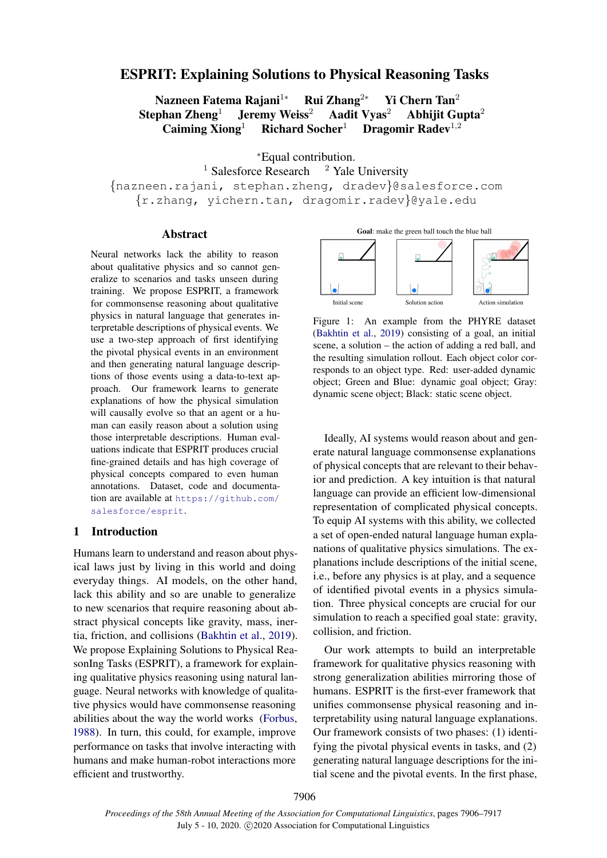# <span id="page-0-1"></span>ESPRIT: Explaining Solutions to Physical Reasoning Tasks

Nazneen Fatema Rajani<sup>1</sup>∗ Rui Zhang<sup>2</sup>\* Yi Chern Tan<sup>2</sup> Stephan Zheng<sup>1</sup> Jeremy Weiss<sup>2</sup> Aadit Vyas<sup>2</sup> Abhijit Gupta<sup>2</sup> Caiming Xiong<sup>1</sup> Richard Socher<sup>1</sup> Dragomir Radev<sup>1,2</sup>

<sup>∗</sup>Equal contribution.

<sup>1</sup> Salesforce Research  $2$  Yale University {nazneen.rajani, stephan.zheng, dradev}@salesforce.com {r.zhang, yichern.tan, dragomir.radev}@yale.edu

#### Abstract

Neural networks lack the ability to reason about qualitative physics and so cannot generalize to scenarios and tasks unseen during training. We propose ESPRIT, a framework for commonsense reasoning about qualitative physics in natural language that generates interpretable descriptions of physical events. We use a two-step approach of first identifying the pivotal physical events in an environment and then generating natural language descriptions of those events using a data-to-text approach. Our framework learns to generate explanations of how the physical simulation will causally evolve so that an agent or a human can easily reason about a solution using those interpretable descriptions. Human evaluations indicate that ESPRIT produces crucial fine-grained details and has high coverage of physical concepts compared to even human annotations. Dataset, code and documentation are available at [https://github.com/](https://github.com/salesforce/esprit) [salesforce/esprit](https://github.com/salesforce/esprit).

#### 1 Introduction

Humans learn to understand and reason about physical laws just by living in this world and doing everyday things. AI models, on the other hand, lack this ability and so are unable to generalize to new scenarios that require reasoning about abstract physical concepts like gravity, mass, inertia, friction, and collisions [\(Bakhtin et al.,](#page-9-0) [2019\)](#page-9-0). We propose Explaining Solutions to Physical ReasonIng Tasks (ESPRIT), a framework for explaining qualitative physics reasoning using natural language. Neural networks with knowledge of qualitative physics would have commonsense reasoning abilities about the way the world works [\(Forbus,](#page-9-1) [1988\)](#page-9-1). In turn, this could, for example, improve performance on tasks that involve interacting with humans and make human-robot interactions more efficient and trustworthy.

Goal: make the green ball touch the blue ball

<span id="page-0-0"></span>

Figure 1: An example from the PHYRE dataset [\(Bakhtin et al.,](#page-9-0) [2019\)](#page-9-0) consisting of a goal, an initial scene, a solution – the action of adding a red ball, and the resulting simulation rollout. Each object color corresponds to an object type. Red: user-added dynamic object; Green and Blue: dynamic goal object; Gray: dynamic scene object; Black: static scene object.

Ideally, AI systems would reason about and generate natural language commonsense explanations of physical concepts that are relevant to their behavior and prediction. A key intuition is that natural language can provide an efficient low-dimensional representation of complicated physical concepts. To equip AI systems with this ability, we collected a set of open-ended natural language human explanations of qualitative physics simulations. The explanations include descriptions of the initial scene, i.e., before any physics is at play, and a sequence of identified pivotal events in a physics simulation. Three physical concepts are crucial for our simulation to reach a specified goal state: gravity, collision, and friction.

Our work attempts to build an interpretable framework for qualitative physics reasoning with strong generalization abilities mirroring those of humans. ESPRIT is the first-ever framework that unifies commonsense physical reasoning and interpretability using natural language explanations. Our framework consists of two phases: (1) identifying the pivotal physical events in tasks, and (2) generating natural language descriptions for the initial scene and the pivotal events. In the first phase,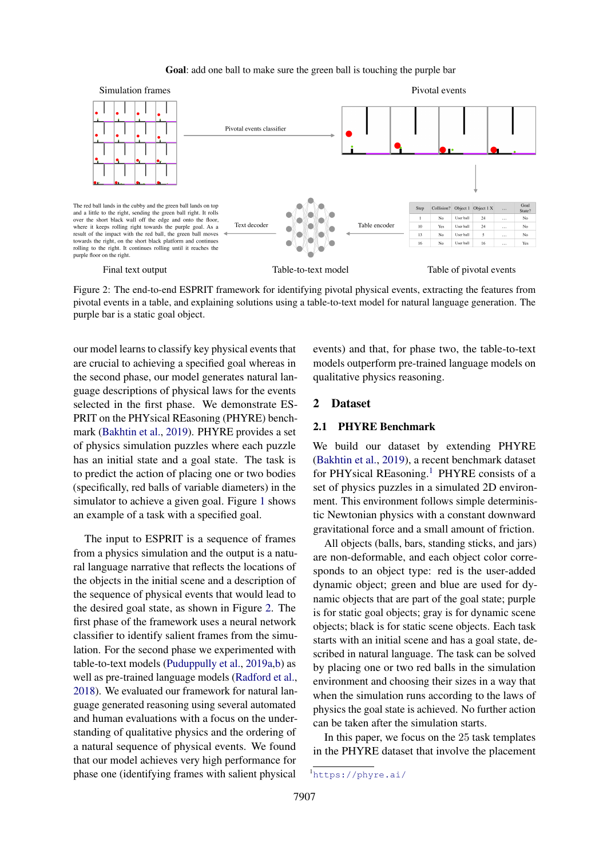#### Goal: add one ball to make sure the green ball is touching the purple bar

<span id="page-1-0"></span>

Figure 2: The end-to-end ESPRIT framework for identifying pivotal physical events, extracting the features from pivotal events in a table, and explaining solutions using a table-to-text model for natural language generation. The purple bar is a static goal object.

our model learns to classify key physical events that are crucial to achieving a specified goal whereas in the second phase, our model generates natural language descriptions of physical laws for the events selected in the first phase. We demonstrate ES-PRIT on the PHYsical REasoning (PHYRE) benchmark [\(Bakhtin et al.,](#page-9-0) [2019\)](#page-9-0). PHYRE provides a set of physics simulation puzzles where each puzzle has an initial state and a goal state. The task is to predict the action of placing one or two bodies (specifically, red balls of variable diameters) in the simulator to achieve a given goal. Figure [1](#page-0-0) shows an example of a task with a specified goal.

The input to ESPRIT is a sequence of frames from a physics simulation and the output is a natural language narrative that reflects the locations of the objects in the initial scene and a description of the sequence of physical events that would lead to the desired goal state, as shown in Figure [2.](#page-1-0) The first phase of the framework uses a neural network classifier to identify salient frames from the simulation. For the second phase we experimented with table-to-text models [\(Puduppully et al.,](#page-10-0) [2019a](#page-10-0)[,b\)](#page-10-1) as well as pre-trained language models [\(Radford et al.,](#page-10-2) [2018\)](#page-10-2). We evaluated our framework for natural language generated reasoning using several automated and human evaluations with a focus on the understanding of qualitative physics and the ordering of a natural sequence of physical events. We found that our model achieves very high performance for phase one (identifying frames with salient physical

events) and that, for phase two, the table-to-text models outperform pre-trained language models on qualitative physics reasoning.

## 2 Dataset

#### 2.1 PHYRE Benchmark

We build our dataset by extending PHYRE [\(Bakhtin et al.,](#page-9-0) [2019\)](#page-9-0), a recent benchmark dataset for PHYsical REasoning.<sup>[1](#page-0-1)</sup> PHYRE consists of a set of physics puzzles in a simulated 2D environment. This environment follows simple deterministic Newtonian physics with a constant downward gravitational force and a small amount of friction.

All objects (balls, bars, standing sticks, and jars) are non-deformable, and each object color corresponds to an object type: red is the user-added dynamic object; green and blue are used for dynamic objects that are part of the goal state; purple is for static goal objects; gray is for dynamic scene objects; black is for static scene objects. Each task starts with an initial scene and has a goal state, described in natural language. The task can be solved by placing one or two red balls in the simulation environment and choosing their sizes in a way that when the simulation runs according to the laws of physics the goal state is achieved. No further action can be taken after the simulation starts.

In this paper, we focus on the 25 task templates in the PHYRE dataset that involve the placement

<sup>1</sup><https://phyre.ai/>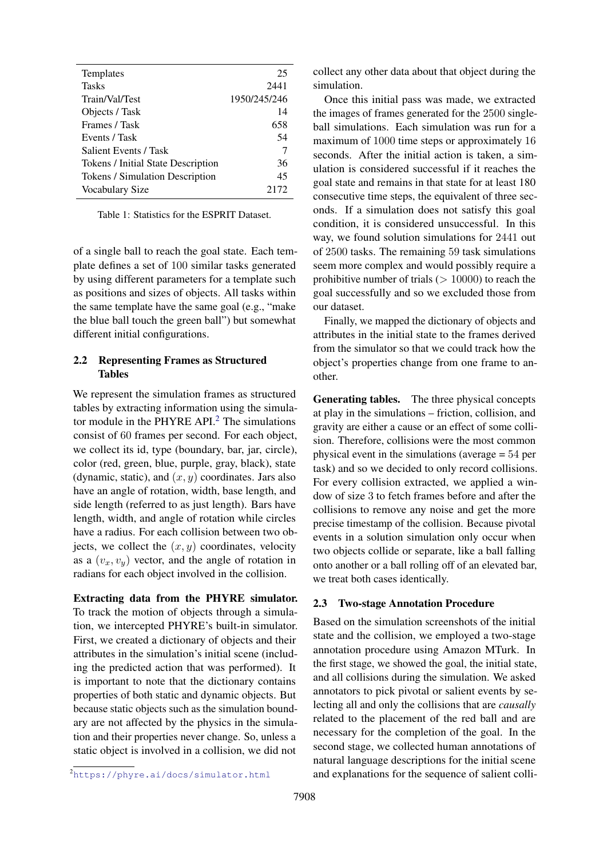<span id="page-2-0"></span>

| Templates                          | 25           |
|------------------------------------|--------------|
| <b>Tasks</b>                       | 2441         |
| Train/Val/Test                     | 1950/245/246 |
| Objects / Task                     | 14           |
| Frames / Task                      | 658          |
| Events / Task                      | 54           |
| Salient Events / Task              | 7            |
| Tokens / Initial State Description | 36           |
| Tokens / Simulation Description    | 45           |
| Vocabulary Size                    | 2172         |

Table 1: Statistics for the ESPRIT Dataset.

of a single ball to reach the goal state. Each template defines a set of 100 similar tasks generated by using different parameters for a template such as positions and sizes of objects. All tasks within the same template have the same goal (e.g., "make the blue ball touch the green ball") but somewhat different initial configurations.

## <span id="page-2-1"></span>2.2 Representing Frames as Structured Tables

We represent the simulation frames as structured tables by extracting information using the simula-tor module in the PHYRE API.<sup>[2](#page-0-1)</sup> The simulations consist of 60 frames per second. For each object, we collect its id, type (boundary, bar, jar, circle), color (red, green, blue, purple, gray, black), state (dynamic, static), and  $(x, y)$  coordinates. Jars also have an angle of rotation, width, base length, and side length (referred to as just length). Bars have length, width, and angle of rotation while circles have a radius. For each collision between two objects, we collect the  $(x, y)$  coordinates, velocity as a  $(v_x, v_y)$  vector, and the angle of rotation in radians for each object involved in the collision.

Extracting data from the PHYRE simulator. To track the motion of objects through a simulation, we intercepted PHYRE's built-in simulator. First, we created a dictionary of objects and their attributes in the simulation's initial scene (including the predicted action that was performed). It is important to note that the dictionary contains properties of both static and dynamic objects. But because static objects such as the simulation boundary are not affected by the physics in the simulation and their properties never change. So, unless a static object is involved in a collision, we did not

collect any other data about that object during the simulation.

Once this initial pass was made, we extracted the images of frames generated for the 2500 singleball simulations. Each simulation was run for a maximum of 1000 time steps or approximately 16 seconds. After the initial action is taken, a simulation is considered successful if it reaches the goal state and remains in that state for at least 180 consecutive time steps, the equivalent of three seconds. If a simulation does not satisfy this goal condition, it is considered unsuccessful. In this way, we found solution simulations for 2441 out of 2500 tasks. The remaining 59 task simulations seem more complex and would possibly require a prohibitive number of trials  $(> 10000)$  to reach the goal successfully and so we excluded those from our dataset.

Finally, we mapped the dictionary of objects and attributes in the initial state to the frames derived from the simulator so that we could track how the object's properties change from one frame to another.

Generating tables. The three physical concepts at play in the simulations – friction, collision, and gravity are either a cause or an effect of some collision. Therefore, collisions were the most common physical event in the simulations (average = 54 per task) and so we decided to only record collisions. For every collision extracted, we applied a window of size 3 to fetch frames before and after the collisions to remove any noise and get the more precise timestamp of the collision. Because pivotal events in a solution simulation only occur when two objects collide or separate, like a ball falling onto another or a ball rolling off of an elevated bar, we treat both cases identically.

## 2.3 Two-stage Annotation Procedure

Based on the simulation screenshots of the initial state and the collision, we employed a two-stage annotation procedure using Amazon MTurk. In the first stage, we showed the goal, the initial state, and all collisions during the simulation. We asked annotators to pick pivotal or salient events by selecting all and only the collisions that are *causally* related to the placement of the red ball and are necessary for the completion of the goal. In the second stage, we collected human annotations of natural language descriptions for the initial scene and explanations for the sequence of salient colli-

<sup>2</sup><https://phyre.ai/docs/simulator.html>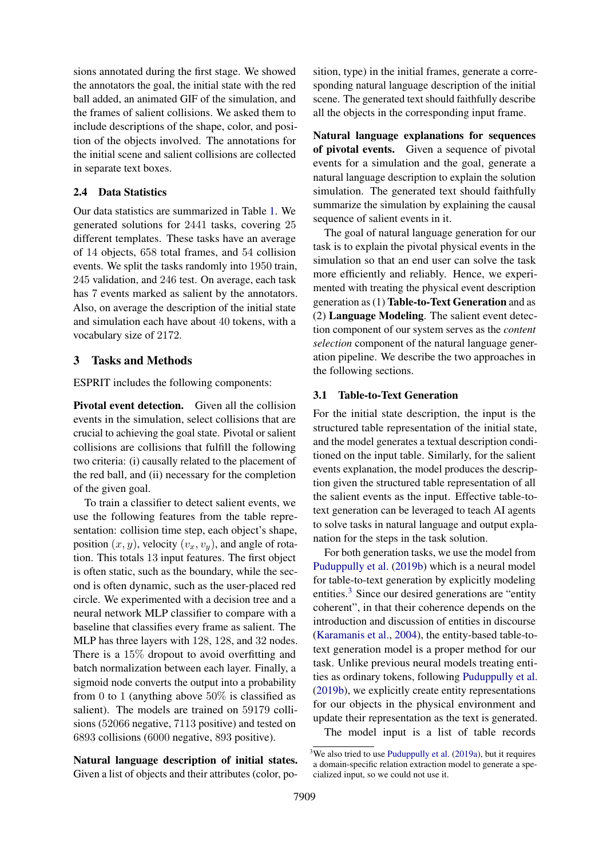sions annotated during the first stage. We showed the annotators the goal, the initial state with the red ball added, an animated GIF of the simulation, and the frames of salient collisions. We asked them to include descriptions of the shape, color, and position of the objects involved. The annotations for the initial scene and salient collisions are collected in separate text boxes.

## 2.4 Data Statistics

Our data statistics are summarized in Table [1.](#page-2-0) We generated solutions for 2441 tasks, covering 25 different templates. These tasks have an average of 14 objects, 658 total frames, and 54 collision events. We split the tasks randomly into 1950 train, 245 validation, and 246 test. On average, each task has 7 events marked as salient by the annotators. Also, on average the description of the initial state and simulation each have about 40 tokens, with a vocabulary size of 2172.

#### <span id="page-3-0"></span>3 Tasks and Methods

ESPRIT includes the following components:

Pivotal event detection. Given all the collision events in the simulation, select collisions that are crucial to achieving the goal state. Pivotal or salient collisions are collisions that fulfill the following two criteria: (i) causally related to the placement of the red ball, and (ii) necessary for the completion of the given goal.

To train a classifier to detect salient events, we use the following features from the table representation: collision time step, each object's shape, position  $(x, y)$ , velocity  $(v_x, v_y)$ , and angle of rotation. This totals 13 input features. The first object is often static, such as the boundary, while the second is often dynamic, such as the user-placed red circle. We experimented with a decision tree and a neural network MLP classifier to compare with a baseline that classifies every frame as salient. The MLP has three layers with 128, 128, and 32 nodes. There is a 15% dropout to avoid overfitting and batch normalization between each layer. Finally, a sigmoid node converts the output into a probability from 0 to 1 (anything above  $50\%$  is classified as salient). The models are trained on 59179 collisions (52066 negative, 7113 positive) and tested on 6893 collisions (6000 negative, 893 positive).

Natural language description of initial states. Given a list of objects and their attributes (color, position, type) in the initial frames, generate a corresponding natural language description of the initial scene. The generated text should faithfully describe all the objects in the corresponding input frame.

Natural language explanations for sequences of pivotal events. Given a sequence of pivotal events for a simulation and the goal, generate a natural language description to explain the solution simulation. The generated text should faithfully summarize the simulation by explaining the causal sequence of salient events in it.

The goal of natural language generation for our task is to explain the pivotal physical events in the simulation so that an end user can solve the task more efficiently and reliably. Hence, we experimented with treating the physical event description generation as (1) Table-to-Text Generation and as (2) Language Modeling. The salient event detection component of our system serves as the *content selection* component of the natural language generation pipeline. We describe the two approaches in the following sections.

## 3.1 Table-to-Text Generation

For the initial state description, the input is the structured table representation of the initial state, and the model generates a textual description conditioned on the input table. Similarly, for the salient events explanation, the model produces the description given the structured table representation of all the salient events as the input. Effective table-totext generation can be leveraged to teach AI agents to solve tasks in natural language and output explanation for the steps in the task solution.

For both generation tasks, we use the model from [Puduppully et al.](#page-10-1) [\(2019b\)](#page-10-1) which is a neural model for table-to-text generation by explicitly modeling entities.<sup>[3](#page-0-1)</sup> Since our desired generations are "entity" coherent", in that their coherence depends on the introduction and discussion of entities in discourse [\(Karamanis et al.,](#page-9-2) [2004\)](#page-9-2), the entity-based table-totext generation model is a proper method for our task. Unlike previous neural models treating entities as ordinary tokens, following [Puduppully et al.](#page-10-1) [\(2019b\)](#page-10-1), we explicitly create entity representations for our objects in the physical environment and update their representation as the text is generated.

The model input is a list of table records

 $3$ We also tried to use [Puduppully et al.](#page-10-0) [\(2019a\)](#page-10-0), but it requires a domain-specific relation extraction model to generate a specialized input, so we could not use it.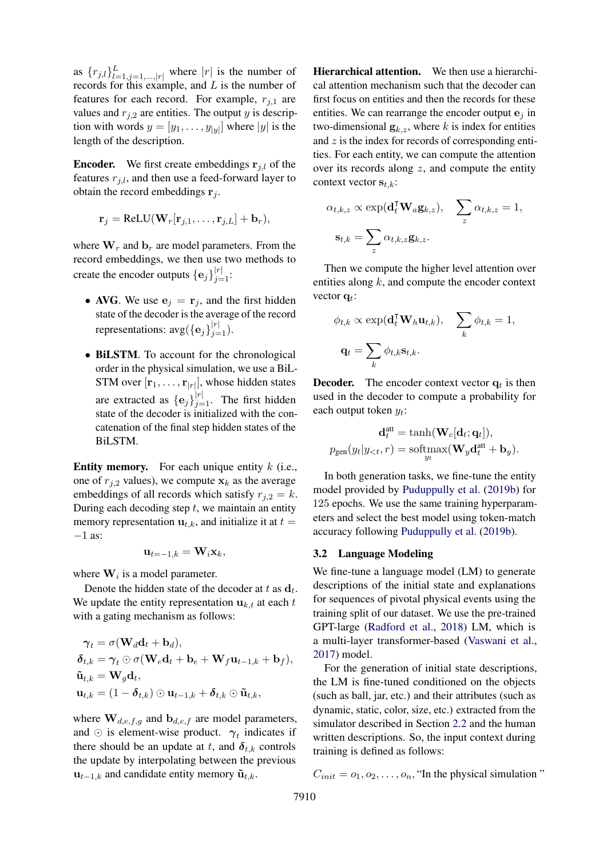as  $\{r_{j,l}\}_{l=1,j=1,\dots,|r|}^{L}$  where  $|r|$  is the number of records for this example, and  $L$  is the number of features for each record. For example,  $r_{j,1}$  are values and  $r_{j,2}$  are entities. The output y is description with words  $y = [y_1, \dots, y_{|y|}]$  where  $|y|$  is the length of the description.

**Encoder.** We first create embeddings  $\mathbf{r}_{i,l}$  of the features  $r_{j,l}$ , and then use a feed-forward layer to obtain the record embeddings  $\mathbf{r}_i$ .

$$
\mathbf{r}_j = \text{ReLU}(\mathbf{W}_r[\mathbf{r}_{j,1},\ldots,\mathbf{r}_{j,L}] + \mathbf{b}_r),
$$

where  $W_r$  and  $b_r$  are model parameters. From the record embeddings, we then use two methods to create the encoder outputs  $\{\mathbf e_j\}_{j=1}^{|r|}$ :

- AVG. We use  $e_i = r_i$ , and the first hidden state of the decoder is the average of the record representations:  $avg({e_j}_{j=1}^{|r|})$ .
- BILSTM. To account for the chronological order in the physical simulation, we use a BiL-STM over  $[r_1, \ldots, r_{|r|}]$ , whose hidden states are extracted as  $\{\mathbf e_j\}_{j=1}^{|r|}$ . The first hidden state of the decoder is initialized with the concatenation of the final step hidden states of the BiLSTM.

**Entity memory.** For each unique entity  $k$  (i.e., one of  $r_{j,2}$  values), we compute  $x_k$  as the average embeddings of all records which satisfy  $r_{i,2} = k$ . During each decoding step  $t$ , we maintain an entity memory representation  $\mathbf{u}_{t,k}$ , and initialize it at  $t =$ −1 as:

$$
\mathbf{u}_{t=-1,k} = \mathbf{W}_i \mathbf{x}_k,
$$

where  $W_i$  is a model parameter.

Denote the hidden state of the decoder at t as  $\mathbf{d}_t$ . We update the entity representation  $\mathbf{u}_{k,t}$  at each t with a gating mechanism as follows:

$$
\gamma_t = \sigma(\mathbf{W}_d \mathbf{d}_t + \mathbf{b}_d),
$$
  
\n
$$
\delta_{t,k} = \gamma_t \odot \sigma(\mathbf{W}_e \mathbf{d}_t + \mathbf{b}_e + \mathbf{W}_f \mathbf{u}_{t-1,k} + \mathbf{b}_f),
$$
  
\n
$$
\tilde{\mathbf{u}}_{t,k} = \mathbf{W}_g \mathbf{d}_t,
$$
  
\n
$$
\mathbf{u}_{t,k} = (1 - \delta_{t,k}) \odot \mathbf{u}_{t-1,k} + \delta_{t,k} \odot \tilde{\mathbf{u}}_{t,k},
$$

where  $\mathbf{W}_{d,e,f,g}$  and  $\mathbf{b}_{d,e,f}$  are model parameters, and  $\odot$  is element-wise product.  $\gamma_t$  indicates if there should be an update at t, and  $\delta_{t,k}$  controls the update by interpolating between the previous  $\mathbf{u}_{t-1,k}$  and candidate entity memory  $\tilde{\mathbf{u}}_{t,k}$ .

Hierarchical attention. We then use a hierarchical attention mechanism such that the decoder can first focus on entities and then the records for these entities. We can rearrange the encoder output  $e_i$  in two-dimensional  $\mathbf{g}_{k,z}$ , where k is index for entities and  $z$  is the index for records of corresponding entities. For each entity, we can compute the attention over its records along  $z$ , and compute the entity context vector  $s_{t,k}$ :

$$
\alpha_{t,k,z} \propto \exp(\mathbf{d}_t^{\mathsf{T}} \mathbf{W}_a \mathbf{g}_{k,z}), \quad \sum_z \alpha_{t,k,z} = 1,
$$

$$
\mathbf{s}_{t,k} = \sum_z \alpha_{t,k,z} \mathbf{g}_{k,z}.
$$

Then we compute the higher level attention over entities along  $k$ , and compute the encoder context vector  $\mathbf{q}_t$ :

$$
\phi_{t,k} \propto \exp(\mathbf{d}_t^{\mathsf{T}} \mathbf{W}_h \mathbf{u}_{t,k}), \quad \sum_k \phi_{t,k} = 1,
$$

$$
\mathbf{q}_t = \sum_k \phi_{t,k} \mathbf{s}_{t,k}.
$$

**Decoder.** The encoder context vector  $q_t$  is then used in the decoder to compute a probability for each output token  $y_t$ :

$$
\mathbf{d}_t^{\text{att}} = \tanh(\mathbf{W}_c[\mathbf{d}_t; \mathbf{q}_t]),
$$

$$
p_{\text{gen}}(y_t|y_{< t}, r) = \text{softmax}(\mathbf{W}_y \mathbf{d}_t^{\text{att}} + \mathbf{b}_y).
$$

In both generation tasks, we fine-tune the entity model provided by [Puduppully et al.](#page-10-1) [\(2019b\)](#page-10-1) for 125 epochs. We use the same training hyperparameters and select the best model using token-match accuracy following [Puduppully et al.](#page-10-1) [\(2019b\)](#page-10-1).

#### 3.2 Language Modeling

We fine-tune a language model (LM) to generate descriptions of the initial state and explanations for sequences of pivotal physical events using the training split of our dataset. We use the pre-trained GPT-large [\(Radford et al.,](#page-10-2) [2018\)](#page-10-2) LM, which is a multi-layer transformer-based [\(Vaswani et al.,](#page-10-3) [2017\)](#page-10-3) model.

For the generation of initial state descriptions, the LM is fine-tuned conditioned on the objects (such as ball, jar, etc.) and their attributes (such as dynamic, static, color, size, etc.) extracted from the simulator described in Section [2.2](#page-2-1) and the human written descriptions. So, the input context during training is defined as follows:

$$
C_{init} = o_1, o_2, \dots, o_n
$$
, "In the physical simulation"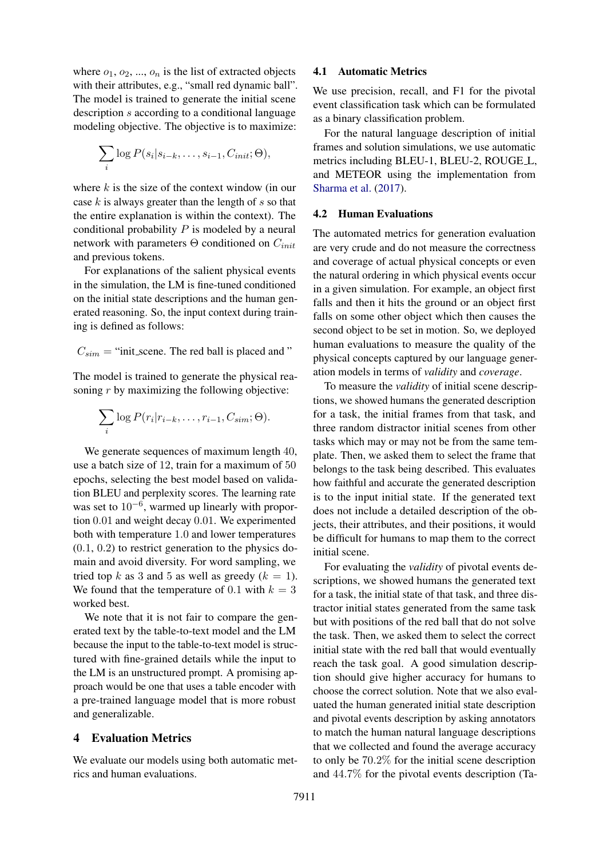where  $o_1, o_2, ..., o_n$  is the list of extracted objects with their attributes, e.g., "small red dynamic ball". The model is trained to generate the initial scene description s according to a conditional language modeling objective. The objective is to maximize:

$$
\sum_i \log P(s_i|s_{i-k},\ldots,s_{i-1},C_{init};\Theta),
$$

where  $k$  is the size of the context window (in our case  $k$  is always greater than the length of  $s$  so that the entire explanation is within the context). The conditional probability  $P$  is modeled by a neural network with parameters  $\Theta$  conditioned on  $C_{init}$ and previous tokens.

For explanations of the salient physical events in the simulation, the LM is fine-tuned conditioned on the initial state descriptions and the human generated reasoning. So, the input context during training is defined as follows:

$$
C_{sim}
$$
 = "init\_scence. The red ball is placed and "

The model is trained to generate the physical reasoning r by maximizing the following objective:

$$
\sum_{i} \log P(r_i|r_{i-k},\ldots,r_{i-1},C_{sim};\Theta).
$$

We generate sequences of maximum length 40, use a batch size of 12, train for a maximum of 50 epochs, selecting the best model based on validation BLEU and perplexity scores. The learning rate was set to  $10^{-6}$ , warmed up linearly with proportion 0.01 and weight decay 0.01. We experimented both with temperature 1.0 and lower temperatures  $(0.1, 0.2)$  to restrict generation to the physics domain and avoid diversity. For word sampling, we tried top k as 3 and 5 as well as greedy  $(k = 1)$ . We found that the temperature of 0.1 with  $k = 3$ worked best.

We note that it is not fair to compare the generated text by the table-to-text model and the LM because the input to the table-to-text model is structured with fine-grained details while the input to the LM is an unstructured prompt. A promising approach would be one that uses a table encoder with a pre-trained language model that is more robust and generalizable.

#### 4 Evaluation Metrics

We evaluate our models using both automatic metrics and human evaluations.

#### 4.1 Automatic Metrics

We use precision, recall, and F1 for the pivotal event classification task which can be formulated as a binary classification problem.

For the natural language description of initial frames and solution simulations, we use automatic metrics including BLEU-1, BLEU-2, ROUGE<sub>L</sub>, and METEOR using the implementation from [Sharma et al.](#page-10-4) [\(2017\)](#page-10-4).

#### 4.2 Human Evaluations

The automated metrics for generation evaluation are very crude and do not measure the correctness and coverage of actual physical concepts or even the natural ordering in which physical events occur in a given simulation. For example, an object first falls and then it hits the ground or an object first falls on some other object which then causes the second object to be set in motion. So, we deployed human evaluations to measure the quality of the physical concepts captured by our language generation models in terms of *validity* and *coverage*.

To measure the *validity* of initial scene descriptions, we showed humans the generated description for a task, the initial frames from that task, and three random distractor initial scenes from other tasks which may or may not be from the same template. Then, we asked them to select the frame that belongs to the task being described. This evaluates how faithful and accurate the generated description is to the input initial state. If the generated text does not include a detailed description of the objects, their attributes, and their positions, it would be difficult for humans to map them to the correct initial scene.

For evaluating the *validity* of pivotal events descriptions, we showed humans the generated text for a task, the initial state of that task, and three distractor initial states generated from the same task but with positions of the red ball that do not solve the task. Then, we asked them to select the correct initial state with the red ball that would eventually reach the task goal. A good simulation description should give higher accuracy for humans to choose the correct solution. Note that we also evaluated the human generated initial state description and pivotal events description by asking annotators to match the human natural language descriptions that we collected and found the average accuracy to only be 70.2% for the initial scene description and 44.7% for the pivotal events description (Ta-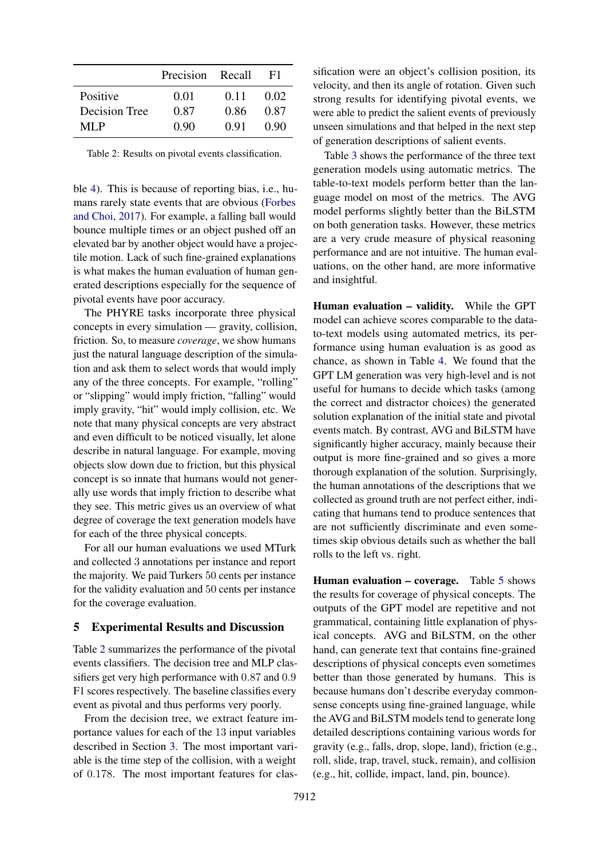<span id="page-6-0"></span>

|                      | Precision Recall |        | F1.  |
|----------------------|------------------|--------|------|
| Positive             | 0.01             | 0.11   | 0.02 |
| <b>Decision Tree</b> | 0.87             | 0.86   | 0.87 |
| MLP                  | 0.90             | (1.91) | 0.90 |

Table 2: Results on pivotal events classification.

ble [4\)](#page-7-0). This is because of reporting bias, i.e., humans rarely state events that are obvious [\(Forbes](#page-9-3) [and Choi,](#page-9-3) [2017\)](#page-9-3). For example, a falling ball would bounce multiple times or an object pushed off an elevated bar by another object would have a projectile motion. Lack of such fine-grained explanations is what makes the human evaluation of human generated descriptions especially for the sequence of pivotal events have poor accuracy.

The PHYRE tasks incorporate three physical concepts in every simulation — gravity, collision, friction. So, to measure *coverage*, we show humans just the natural language description of the simulation and ask them to select words that would imply any of the three concepts. For example, "rolling" or "slipping" would imply friction, "falling" would imply gravity, "hit" would imply collision, etc. We note that many physical concepts are very abstract and even difficult to be noticed visually, let alone describe in natural language. For example, moving objects slow down due to friction, but this physical concept is so innate that humans would not generally use words that imply friction to describe what they see. This metric gives us an overview of what degree of coverage the text generation models have for each of the three physical concepts.

For all our human evaluations we used MTurk and collected 3 annotations per instance and report the majority. We paid Turkers 50 cents per instance for the validity evaluation and 50 cents per instance for the coverage evaluation.

## 5 Experimental Results and Discussion

Table [2](#page-6-0) summarizes the performance of the pivotal events classifiers. The decision tree and MLP classifiers get very high performance with 0.87 and 0.9 F1 scores respectively. The baseline classifies every event as pivotal and thus performs very poorly.

From the decision tree, we extract feature importance values for each of the 13 input variables described in Section [3.](#page-3-0) The most important variable is the time step of the collision, with a weight of 0.178. The most important features for classification were an object's collision position, its velocity, and then its angle of rotation. Given such strong results for identifying pivotal events, we were able to predict the salient events of previously unseen simulations and that helped in the next step of generation descriptions of salient events.

Table [3](#page-7-1) shows the performance of the three text generation models using automatic metrics. The table-to-text models perform better than the language model on most of the metrics. The AVG model performs slightly better than the BiLSTM on both generation tasks. However, these metrics are a very crude measure of physical reasoning performance and are not intuitive. The human evaluations, on the other hand, are more informative and insightful.

Human evaluation – validity. While the GPT model can achieve scores comparable to the datato-text models using automated metrics, its performance using human evaluation is as good as chance, as shown in Table [4.](#page-7-0) We found that the GPT LM generation was very high-level and is not useful for humans to decide which tasks (among the correct and distractor choices) the generated solution explanation of the initial state and pivotal events match. By contrast, AVG and BiLSTM have significantly higher accuracy, mainly because their output is more fine-grained and so gives a more thorough explanation of the solution. Surprisingly, the human annotations of the descriptions that we collected as ground truth are not perfect either, indicating that humans tend to produce sentences that are not sufficiently discriminate and even sometimes skip obvious details such as whether the ball rolls to the left vs. right.

Human evaluation – coverage. Table [5](#page-7-2) shows the results for coverage of physical concepts. The outputs of the GPT model are repetitive and not grammatical, containing little explanation of physical concepts. AVG and BiLSTM, on the other hand, can generate text that contains fine-grained descriptions of physical concepts even sometimes better than those generated by humans. This is because humans don't describe everyday commonsense concepts using fine-grained language, while the AVG and BiLSTM models tend to generate long detailed descriptions containing various words for gravity (e.g., falls, drop, slope, land), friction (e.g., roll, slide, trap, travel, stuck, remain), and collision (e.g., hit, collide, impact, land, pin, bounce).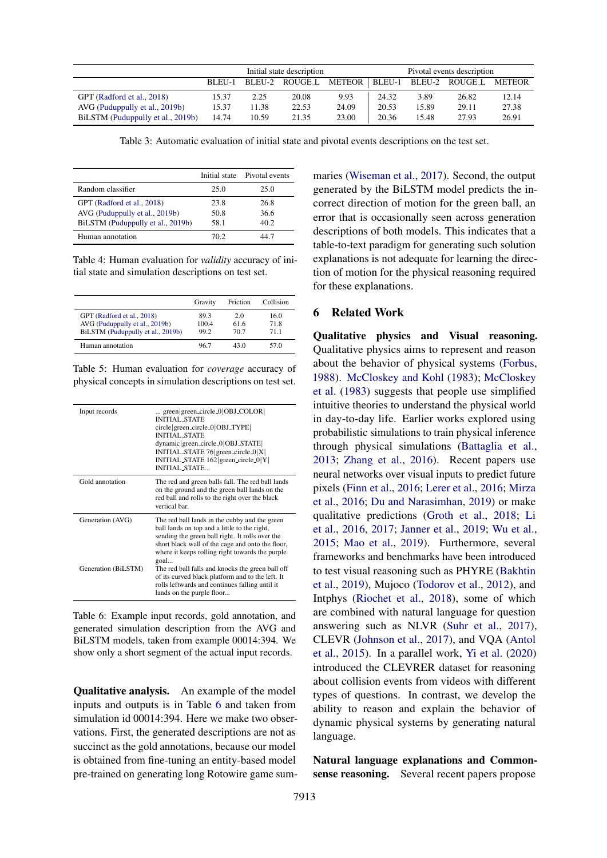<span id="page-7-1"></span>

|                                   | Initial state description |       |                       |       |       | Pivotal events description |                             |       |
|-----------------------------------|---------------------------|-------|-----------------------|-------|-------|----------------------------|-----------------------------|-------|
|                                   | BLEU-1                    |       | BLEU-2 ROUGE_L METEOR |       |       |                            | BLEU-1 BLEU-2 ROUGEL METEOR |       |
| GPT (Radford et al., 2018)        | 15.37                     | 2.25  | 20.08                 | 9.93  | 24.32 | 3.89                       | 26.82                       | 12.14 |
| AVG (Puduppully et al., 2019b)    | 15.37                     | 11.38 | 22.53                 | 24.09 | 20.53 | 15.89                      | 29.11                       | 27.38 |
| BiLSTM (Puduppully et al., 2019b) | 14.74                     | 10.59 | 21.35                 | 23.00 | 20.36 | 15.48                      | 27.93                       | 26.91 |

Table 3: Automatic evaluation of initial state and pivotal events descriptions on the test set.

<span id="page-7-0"></span>

|                                   |       | Initial state Pivotal events |
|-----------------------------------|-------|------------------------------|
| Random classifier                 | 25.0  | 25.0                         |
| GPT (Radford et al., 2018)        | 23.8  | 26.8                         |
| AVG (Puduppully et al., 2019b)    | 50.8  | 36.6                         |
| BiLSTM (Puduppully et al., 2019b) | 58.1  | 40.2                         |
| Human annotation                  | 70 2. | .47                          |

Table 4: Human evaluation for *validity* accuracy of initial state and simulation descriptions on test set.

<span id="page-7-2"></span>

|                                                                                                   | Gravity               | Friction           | Collision            |
|---------------------------------------------------------------------------------------------------|-----------------------|--------------------|----------------------|
| GPT (Radford et al., 2018)<br>AVG (Puduppully et al., 2019b)<br>BiLSTM (Puduppully et al., 2019b) | 89.3<br>100.4<br>99.2 | 20<br>61.6<br>70.7 | 16.0<br>71.8<br>71 1 |
| Human annotation                                                                                  | 96.7                  | 43 O               | 57 O                 |

Table 5: Human evaluation for *coverage* accuracy of physical concepts in simulation descriptions on test set.

<span id="page-7-3"></span>

| Input records                           | green green_circle_0 $ OBJ$ _COLOR<br><b>INITIAL STATE</b><br>circle green_circle_0   OBJ_TYPE  <br><b>INITIAL STATE</b><br>dynamic green_circle_0 OBJ_STATE<br>INITIAL_STATE 76 green_circle_0  X  <br>INITIAL_STATE 162 green_circle_0 Y <br><b>INITIAL_STATE</b>                                                                                                                                                                                    |
|-----------------------------------------|--------------------------------------------------------------------------------------------------------------------------------------------------------------------------------------------------------------------------------------------------------------------------------------------------------------------------------------------------------------------------------------------------------------------------------------------------------|
| Gold annotation                         | The red and green balls fall. The red ball lands<br>on the ground and the green ball lands on the<br>red ball and rolls to the right over the black<br>vertical har                                                                                                                                                                                                                                                                                    |
| Generation (AVG)<br>Generation (BiLSTM) | The red ball lands in the cubby and the green<br>ball lands on top and a little to the right,<br>sending the green ball right. It rolls over the<br>short black wall of the cage and onto the floor,<br>where it keeps rolling right towards the purple<br>goal<br>The red ball falls and knocks the green ball off<br>of its curved black platform and to the left. It<br>rolls leftwards and continues falling until it<br>lands on the purple floor |

Table 6: Example input records, gold annotation, and generated simulation description from the AVG and BiLSTM models, taken from example 00014:394. We show only a short segment of the actual input records.

Qualitative analysis. An example of the model inputs and outputs is in Table [6](#page-7-3) and taken from simulation id 00014:394. Here we make two observations. First, the generated descriptions are not as succinct as the gold annotations, because our model is obtained from fine-tuning an entity-based model pre-trained on generating long Rotowire game summaries [\(Wiseman et al.,](#page-11-0) [2017\)](#page-11-0). Second, the output generated by the BiLSTM model predicts the incorrect direction of motion for the green ball, an error that is occasionally seen across generation descriptions of both models. This indicates that a table-to-text paradigm for generating such solution explanations is not adequate for learning the direction of motion for the physical reasoning required for these explanations.

## 6 Related Work

Qualitative physics and Visual reasoning. Qualitative physics aims to represent and reason about the behavior of physical systems [\(Forbus,](#page-9-1) [1988\)](#page-9-1). [McCloskey and Kohl](#page-10-5) [\(1983\)](#page-10-5); [McCloskey](#page-10-6) [et al.](#page-10-6) [\(1983\)](#page-10-6) suggests that people use simplified intuitive theories to understand the physical world in day-to-day life. Earlier works explored using probabilistic simulations to train physical inference through physical simulations [\(Battaglia et al.,](#page-9-4) [2013;](#page-9-4) [Zhang et al.,](#page-11-1) [2016\)](#page-11-1). Recent papers use neural networks over visual inputs to predict future pixels [\(Finn et al.,](#page-9-5) [2016;](#page-9-5) [Lerer et al.,](#page-10-7) [2016;](#page-10-7) [Mirza](#page-10-8) [et al.,](#page-10-8) [2016;](#page-10-8) [Du and Narasimhan,](#page-9-6) [2019\)](#page-9-6) or make qualitative predictions [\(Groth et al.,](#page-9-7) [2018;](#page-9-7) [Li](#page-10-9) [et al.,](#page-10-9) [2016,](#page-10-9) [2017;](#page-10-10) [Janner et al.,](#page-9-8) [2019;](#page-9-8) [Wu et al.,](#page-11-2) [2015;](#page-11-2) [Mao et al.,](#page-10-11) [2019\)](#page-10-11). Furthermore, several frameworks and benchmarks have been introduced to test visual reasoning such as PHYRE [\(Bakhtin](#page-9-0) [et al.,](#page-9-0) [2019\)](#page-9-0), Mujoco [\(Todorov et al.,](#page-10-12) [2012\)](#page-10-12), and Intphys [\(Riochet et al.,](#page-10-13) [2018\)](#page-10-13), some of which are combined with natural language for question answering such as NLVR [\(Suhr et al.,](#page-10-14) [2017\)](#page-10-14), CLEVR [\(Johnson et al.,](#page-9-9) [2017\)](#page-9-9), and VQA [\(Antol](#page-9-10) [et al.,](#page-9-10) [2015\)](#page-9-10). In a parallel work, [Yi et al.](#page-11-3) [\(2020\)](#page-11-3) introduced the CLEVRER dataset for reasoning about collision events from videos with different types of questions. In contrast, we develop the ability to reason and explain the behavior of dynamic physical systems by generating natural language.

Natural language explanations and Commonsense reasoning. Several recent papers propose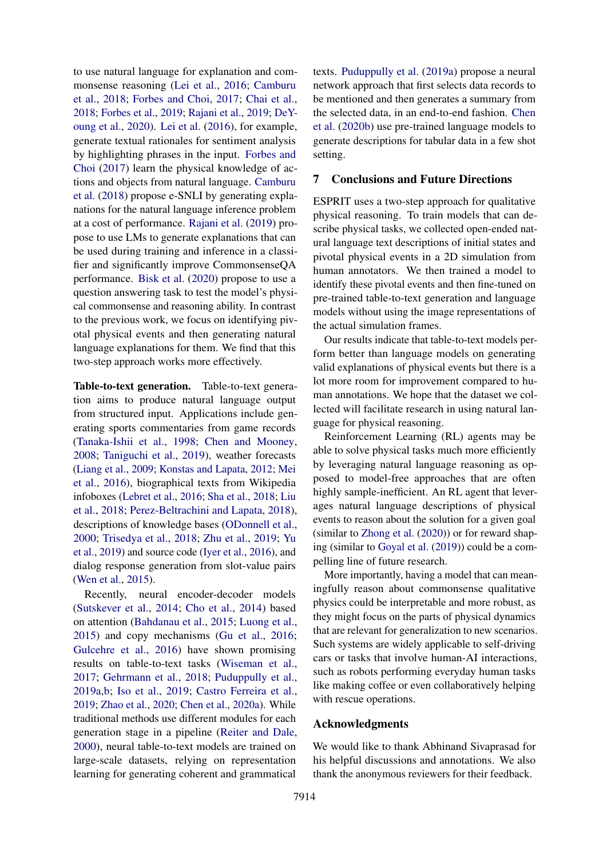to use natural language for explanation and commonsense reasoning [\(Lei et al.,](#page-10-15) [2016;](#page-10-15) [Camburu](#page-9-11) [et al.,](#page-9-11) [2018;](#page-9-11) [Forbes and Choi,](#page-9-3) [2017;](#page-9-3) [Chai et al.,](#page-9-12) [2018;](#page-9-12) [Forbes et al.,](#page-9-13) [2019;](#page-9-13) [Rajani et al.,](#page-10-16) [2019;](#page-10-16) [DeY](#page-9-14)[oung et al.,](#page-9-14) [2020\)](#page-9-14). [Lei et al.](#page-10-15) [\(2016\)](#page-10-15), for example, generate textual rationales for sentiment analysis by highlighting phrases in the input. [Forbes and](#page-9-3) [Choi](#page-9-3) [\(2017\)](#page-9-3) learn the physical knowledge of actions and objects from natural language. [Camburu](#page-9-11) [et al.](#page-9-11) [\(2018\)](#page-9-11) propose e-SNLI by generating explanations for the natural language inference problem at a cost of performance. [Rajani et al.](#page-10-16) [\(2019\)](#page-10-16) propose to use LMs to generate explanations that can be used during training and inference in a classifier and significantly improve CommonsenseQA performance. [Bisk et al.](#page-9-15) [\(2020\)](#page-9-15) propose to use a question answering task to test the model's physical commonsense and reasoning ability. In contrast to the previous work, we focus on identifying pivotal physical events and then generating natural language explanations for them. We find that this two-step approach works more effectively.

Table-to-text generation. Table-to-text generation aims to produce natural language output from structured input. Applications include generating sports commentaries from game records [\(Tanaka-Ishii et al.,](#page-10-17) [1998;](#page-10-17) [Chen and Mooney,](#page-9-16) [2008;](#page-9-16) [Taniguchi et al.,](#page-10-18) [2019\)](#page-10-18), weather forecasts [\(Liang et al.,](#page-10-19) [2009;](#page-10-19) [Konstas and Lapata,](#page-9-17) [2012;](#page-9-17) [Mei](#page-10-20) [et al.,](#page-10-20) [2016\)](#page-10-20), biographical texts from Wikipedia infoboxes [\(Lebret et al.,](#page-10-21) [2016;](#page-10-21) [Sha et al.,](#page-10-22) [2018;](#page-10-22) [Liu](#page-10-23) [et al.,](#page-10-23) [2018;](#page-10-23) [Perez-Beltrachini and Lapata,](#page-10-24) [2018\)](#page-10-24), descriptions of knowledge bases [\(ODonnell et al.,](#page-10-25) [2000;](#page-10-25) [Trisedya et al.,](#page-10-26) [2018;](#page-10-26) [Zhu et al.,](#page-11-4) [2019;](#page-11-4) [Yu](#page-11-5) [et al.,](#page-11-5) [2019\)](#page-11-5) and source code [\(Iyer et al.,](#page-9-18) [2016\)](#page-9-18), and dialog response generation from slot-value pairs [\(Wen et al.,](#page-11-6) [2015\)](#page-11-6).

Recently, neural encoder-decoder models [\(Sutskever et al.,](#page-10-27) [2014;](#page-10-27) [Cho et al.,](#page-9-19) [2014\)](#page-9-19) based on attention [\(Bahdanau et al.,](#page-9-20) [2015;](#page-9-20) [Luong et al.,](#page-10-28) [2015\)](#page-10-28) and copy mechanisms [\(Gu et al.,](#page-9-21) [2016;](#page-9-21) [Gulcehre et al.,](#page-9-22) [2016\)](#page-9-22) have shown promising results on table-to-text tasks [\(Wiseman et al.,](#page-11-0) [2017;](#page-11-0) [Gehrmann et al.,](#page-9-23) [2018;](#page-9-23) [Puduppully et al.,](#page-10-0) [2019a](#page-10-0)[,b;](#page-10-1) [Iso et al.,](#page-9-24) [2019;](#page-9-24) [Castro Ferreira et al.,](#page-9-25) [2019;](#page-9-25) [Zhao et al.,](#page-11-7) [2020;](#page-11-7) [Chen et al.,](#page-9-26) [2020a\)](#page-9-26). While traditional methods use different modules for each generation stage in a pipeline [\(Reiter and Dale,](#page-10-29) [2000\)](#page-10-29), neural table-to-text models are trained on large-scale datasets, relying on representation learning for generating coherent and grammatical

texts. [Puduppully et al.](#page-10-0) [\(2019a\)](#page-10-0) propose a neural network approach that first selects data records to be mentioned and then generates a summary from the selected data, in an end-to-end fashion. [Chen](#page-9-27) [et al.](#page-9-27) [\(2020b\)](#page-9-27) use pre-trained language models to generate descriptions for tabular data in a few shot setting.

#### 7 Conclusions and Future Directions

ESPRIT uses a two-step approach for qualitative physical reasoning. To train models that can describe physical tasks, we collected open-ended natural language text descriptions of initial states and pivotal physical events in a 2D simulation from human annotators. We then trained a model to identify these pivotal events and then fine-tuned on pre-trained table-to-text generation and language models without using the image representations of the actual simulation frames.

Our results indicate that table-to-text models perform better than language models on generating valid explanations of physical events but there is a lot more room for improvement compared to human annotations. We hope that the dataset we collected will facilitate research in using natural language for physical reasoning.

Reinforcement Learning (RL) agents may be able to solve physical tasks much more efficiently by leveraging natural language reasoning as opposed to model-free approaches that are often highly sample-inefficient. An RL agent that leverages natural language descriptions of physical events to reason about the solution for a given goal (similar to [Zhong et al.](#page-11-8) [\(2020\)](#page-11-8)) or for reward shaping (similar to [Goyal et al.](#page-9-28) [\(2019\)](#page-9-28)) could be a compelling line of future research.

More importantly, having a model that can meaningfully reason about commonsense qualitative physics could be interpretable and more robust, as they might focus on the parts of physical dynamics that are relevant for generalization to new scenarios. Such systems are widely applicable to self-driving cars or tasks that involve human-AI interactions, such as robots performing everyday human tasks like making coffee or even collaboratively helping with rescue operations.

## Acknowledgments

We would like to thank Abhinand Sivaprasad for his helpful discussions and annotations. We also thank the anonymous reviewers for their feedback.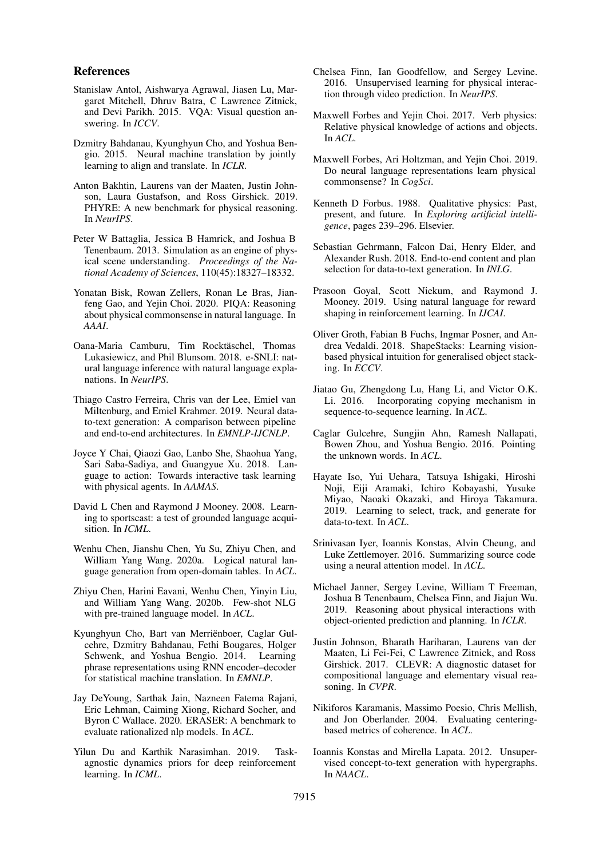#### References

- <span id="page-9-10"></span>Stanislaw Antol, Aishwarya Agrawal, Jiasen Lu, Margaret Mitchell, Dhruv Batra, C Lawrence Zitnick, and Devi Parikh. 2015. VQA: Visual question answering. In *ICCV*.
- <span id="page-9-20"></span>Dzmitry Bahdanau, Kyunghyun Cho, and Yoshua Bengio. 2015. Neural machine translation by jointly learning to align and translate. In *ICLR*.
- <span id="page-9-0"></span>Anton Bakhtin, Laurens van der Maaten, Justin Johnson, Laura Gustafson, and Ross Girshick. 2019. PHYRE: A new benchmark for physical reasoning. In *NeurIPS*.
- <span id="page-9-4"></span>Peter W Battaglia, Jessica B Hamrick, and Joshua B Tenenbaum. 2013. Simulation as an engine of physical scene understanding. *Proceedings of the National Academy of Sciences*, 110(45):18327–18332.
- <span id="page-9-15"></span>Yonatan Bisk, Rowan Zellers, Ronan Le Bras, Jianfeng Gao, and Yejin Choi. 2020. PIQA: Reasoning about physical commonsense in natural language. In *AAAI*.
- <span id="page-9-11"></span>Oana-Maria Camburu, Tim Rocktäschel, Thomas Lukasiewicz, and Phil Blunsom. 2018. e-SNLI: natural language inference with natural language explanations. In *NeurIPS*.
- <span id="page-9-25"></span>Thiago Castro Ferreira, Chris van der Lee, Emiel van Miltenburg, and Emiel Krahmer. 2019. Neural datato-text generation: A comparison between pipeline and end-to-end architectures. In *EMNLP-IJCNLP*.
- <span id="page-9-12"></span>Joyce Y Chai, Qiaozi Gao, Lanbo She, Shaohua Yang, Sari Saba-Sadiya, and Guangyue Xu. 2018. Language to action: Towards interactive task learning with physical agents. In *AAMAS*.
- <span id="page-9-16"></span>David L Chen and Raymond J Mooney. 2008. Learning to sportscast: a test of grounded language acquisition. In *ICML*.
- <span id="page-9-26"></span>Wenhu Chen, Jianshu Chen, Yu Su, Zhiyu Chen, and William Yang Wang. 2020a. Logical natural language generation from open-domain tables. In *ACL*.
- <span id="page-9-27"></span>Zhiyu Chen, Harini Eavani, Wenhu Chen, Yinyin Liu, and William Yang Wang. 2020b. Few-shot NLG with pre-trained language model. In *ACL*.
- <span id="page-9-19"></span>Kyunghyun Cho, Bart van Merriënboer, Caglar Gulcehre, Dzmitry Bahdanau, Fethi Bougares, Holger Schwenk, and Yoshua Bengio. 2014. Learning phrase representations using RNN encoder–decoder for statistical machine translation. In *EMNLP*.
- <span id="page-9-14"></span>Jay DeYoung, Sarthak Jain, Nazneen Fatema Rajani, Eric Lehman, Caiming Xiong, Richard Socher, and Byron C Wallace. 2020. ERASER: A benchmark to evaluate rationalized nlp models. In *ACL*.
- <span id="page-9-6"></span>Yilun Du and Karthik Narasimhan. 2019. Taskagnostic dynamics priors for deep reinforcement learning. In *ICML*.
- <span id="page-9-5"></span>Chelsea Finn, Ian Goodfellow, and Sergey Levine. 2016. Unsupervised learning for physical interaction through video prediction. In *NeurIPS*.
- <span id="page-9-3"></span>Maxwell Forbes and Yejin Choi. 2017. Verb physics: Relative physical knowledge of actions and objects. In *ACL*.
- <span id="page-9-13"></span>Maxwell Forbes, Ari Holtzman, and Yejin Choi. 2019. Do neural language representations learn physical commonsense? In *CogSci*.
- <span id="page-9-1"></span>Kenneth D Forbus. 1988. Qualitative physics: Past, present, and future. In *Exploring artificial intelligence*, pages 239–296. Elsevier.
- <span id="page-9-23"></span>Sebastian Gehrmann, Falcon Dai, Henry Elder, and Alexander Rush. 2018. End-to-end content and plan selection for data-to-text generation. In *INLG*.
- <span id="page-9-28"></span>Prasoon Goyal, Scott Niekum, and Raymond J. Mooney. 2019. Using natural language for reward shaping in reinforcement learning. In *IJCAI*.
- <span id="page-9-7"></span>Oliver Groth, Fabian B Fuchs, Ingmar Posner, and Andrea Vedaldi. 2018. ShapeStacks: Learning visionbased physical intuition for generalised object stacking. In *ECCV*.
- <span id="page-9-21"></span>Jiatao Gu, Zhengdong Lu, Hang Li, and Victor O.K. Li. 2016. Incorporating copying mechanism in sequence-to-sequence learning. In *ACL*.
- <span id="page-9-22"></span>Caglar Gulcehre, Sungjin Ahn, Ramesh Nallapati, Bowen Zhou, and Yoshua Bengio. 2016. Pointing the unknown words. In *ACL*.
- <span id="page-9-24"></span>Hayate Iso, Yui Uehara, Tatsuya Ishigaki, Hiroshi Noji, Eiji Aramaki, Ichiro Kobayashi, Yusuke Miyao, Naoaki Okazaki, and Hiroya Takamura. 2019. Learning to select, track, and generate for data-to-text. In *ACL*.
- <span id="page-9-18"></span>Srinivasan Iyer, Ioannis Konstas, Alvin Cheung, and Luke Zettlemoyer. 2016. Summarizing source code using a neural attention model. In *ACL*.
- <span id="page-9-8"></span>Michael Janner, Sergey Levine, William T Freeman, Joshua B Tenenbaum, Chelsea Finn, and Jiajun Wu. 2019. Reasoning about physical interactions with object-oriented prediction and planning. In *ICLR*.
- <span id="page-9-9"></span>Justin Johnson, Bharath Hariharan, Laurens van der Maaten, Li Fei-Fei, C Lawrence Zitnick, and Ross Girshick. 2017. CLEVR: A diagnostic dataset for compositional language and elementary visual reasoning. In *CVPR*.
- <span id="page-9-2"></span>Nikiforos Karamanis, Massimo Poesio, Chris Mellish, and Jon Oberlander. 2004. Evaluating centeringbased metrics of coherence. In *ACL*.
- <span id="page-9-17"></span>Ioannis Konstas and Mirella Lapata. 2012. Unsupervised concept-to-text generation with hypergraphs. In *NAACL*.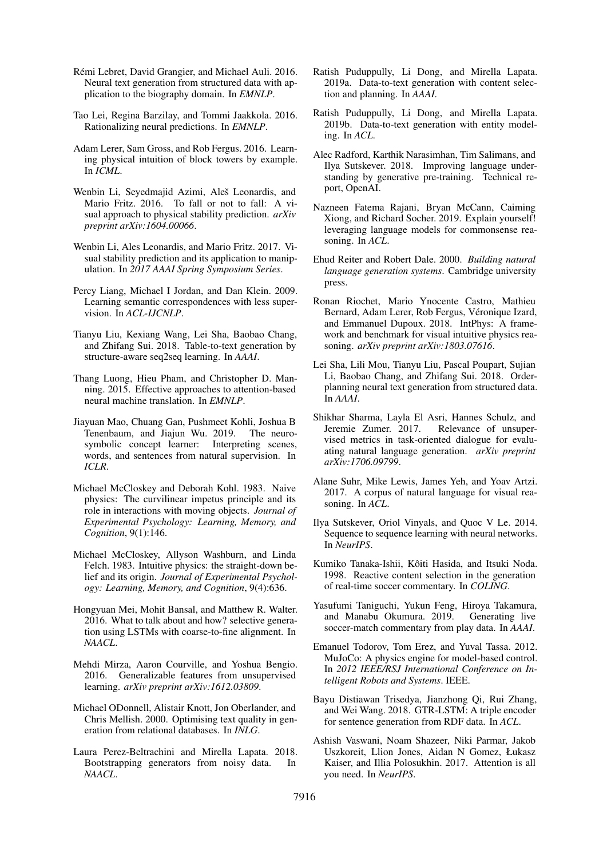- <span id="page-10-21"></span>Rémi Lebret, David Grangier, and Michael Auli. 2016. Neural text generation from structured data with application to the biography domain. In *EMNLP*.
- <span id="page-10-15"></span>Tao Lei, Regina Barzilay, and Tommi Jaakkola. 2016. Rationalizing neural predictions. In *EMNLP*.
- <span id="page-10-7"></span>Adam Lerer, Sam Gross, and Rob Fergus. 2016. Learning physical intuition of block towers by example. In *ICML*.
- <span id="page-10-9"></span>Wenbin Li, Seyedmajid Azimi, Aleš Leonardis, and Mario Fritz. 2016. To fall or not to fall: A visual approach to physical stability prediction. *arXiv preprint arXiv:1604.00066*.
- <span id="page-10-10"></span>Wenbin Li, Ales Leonardis, and Mario Fritz. 2017. Visual stability prediction and its application to manipulation. In *2017 AAAI Spring Symposium Series*.
- <span id="page-10-19"></span>Percy Liang, Michael I Jordan, and Dan Klein. 2009. Learning semantic correspondences with less supervision. In *ACL-IJCNLP*.
- <span id="page-10-23"></span>Tianyu Liu, Kexiang Wang, Lei Sha, Baobao Chang, and Zhifang Sui. 2018. Table-to-text generation by structure-aware seq2seq learning. In *AAAI*.
- <span id="page-10-28"></span>Thang Luong, Hieu Pham, and Christopher D. Manning. 2015. Effective approaches to attention-based neural machine translation. In *EMNLP*.
- <span id="page-10-11"></span>Jiayuan Mao, Chuang Gan, Pushmeet Kohli, Joshua B Tenenbaum, and Jiajun Wu. 2019. The neurosymbolic concept learner: Interpreting scenes, words, and sentences from natural supervision. In *ICLR*.
- <span id="page-10-5"></span>Michael McCloskey and Deborah Kohl. 1983. Naive physics: The curvilinear impetus principle and its role in interactions with moving objects. *Journal of Experimental Psychology: Learning, Memory, and Cognition*, 9(1):146.
- <span id="page-10-6"></span>Michael McCloskey, Allyson Washburn, and Linda Felch. 1983. Intuitive physics: the straight-down belief and its origin. *Journal of Experimental Psychology: Learning, Memory, and Cognition*, 9(4):636.
- <span id="page-10-20"></span>Hongyuan Mei, Mohit Bansal, and Matthew R. Walter. 2016. What to talk about and how? selective generation using LSTMs with coarse-to-fine alignment. In *NAACL*.
- <span id="page-10-8"></span>Mehdi Mirza, Aaron Courville, and Yoshua Bengio. 2016. Generalizable features from unsupervised learning. *arXiv preprint arXiv:1612.03809*.
- <span id="page-10-25"></span>Michael ODonnell, Alistair Knott, Jon Oberlander, and Chris Mellish. 2000. Optimising text quality in generation from relational databases. In *INLG*.
- <span id="page-10-24"></span>Laura Perez-Beltrachini and Mirella Lapata. 2018. Bootstrapping generators from noisy data. In *NAACL*.
- <span id="page-10-0"></span>Ratish Puduppully, Li Dong, and Mirella Lapata. 2019a. Data-to-text generation with content selection and planning. In *AAAI*.
- <span id="page-10-1"></span>Ratish Puduppully, Li Dong, and Mirella Lapata. 2019b. Data-to-text generation with entity modeling. In *ACL*.
- <span id="page-10-2"></span>Alec Radford, Karthik Narasimhan, Tim Salimans, and Ilya Sutskever. 2018. Improving language understanding by generative pre-training. Technical report, OpenAI.
- <span id="page-10-16"></span>Nazneen Fatema Rajani, Bryan McCann, Caiming Xiong, and Richard Socher. 2019. Explain yourself! leveraging language models for commonsense reasoning. In *ACL*.
- <span id="page-10-29"></span>Ehud Reiter and Robert Dale. 2000. *Building natural language generation systems*. Cambridge university press.
- <span id="page-10-13"></span>Ronan Riochet, Mario Ynocente Castro, Mathieu Bernard, Adam Lerer, Rob Fergus, Véronique Izard, and Emmanuel Dupoux. 2018. IntPhys: A framework and benchmark for visual intuitive physics reasoning. *arXiv preprint arXiv:1803.07616*.
- <span id="page-10-22"></span>Lei Sha, Lili Mou, Tianyu Liu, Pascal Poupart, Sujian Li, Baobao Chang, and Zhifang Sui. 2018. Orderplanning neural text generation from structured data. In *AAAI*.
- <span id="page-10-4"></span>Shikhar Sharma, Layla El Asri, Hannes Schulz, and Relevance of unsupervised metrics in task-oriented dialogue for evaluating natural language generation. *arXiv preprint arXiv:1706.09799*.
- <span id="page-10-14"></span>Alane Suhr, Mike Lewis, James Yeh, and Yoav Artzi. 2017. A corpus of natural language for visual reasoning. In *ACL*.
- <span id="page-10-27"></span>Ilya Sutskever, Oriol Vinyals, and Quoc V Le. 2014. Sequence to sequence learning with neural networks. In *NeurIPS*.
- <span id="page-10-17"></span>Kumiko Tanaka-Ishii, Kôiti Hasida, and Itsuki Noda. 1998. Reactive content selection in the generation of real-time soccer commentary. In *COLING*.
- <span id="page-10-18"></span>Yasufumi Taniguchi, Yukun Feng, Hiroya Takamura, and Manabu Okumura. 2019. Generating live soccer-match commentary from play data. In *AAAI*.
- <span id="page-10-12"></span>Emanuel Todorov, Tom Erez, and Yuval Tassa. 2012. MuJoCo: A physics engine for model-based control. In *2012 IEEE/RSJ International Conference on Intelligent Robots and Systems*. IEEE.
- <span id="page-10-26"></span>Bayu Distiawan Trisedya, Jianzhong Qi, Rui Zhang, and Wei Wang. 2018. GTR-LSTM: A triple encoder for sentence generation from RDF data. In *ACL*.
- <span id="page-10-3"></span>Ashish Vaswani, Noam Shazeer, Niki Parmar, Jakob Uszkoreit, Llion Jones, Aidan N Gomez, Łukasz Kaiser, and Illia Polosukhin. 2017. Attention is all you need. In *NeurIPS*.